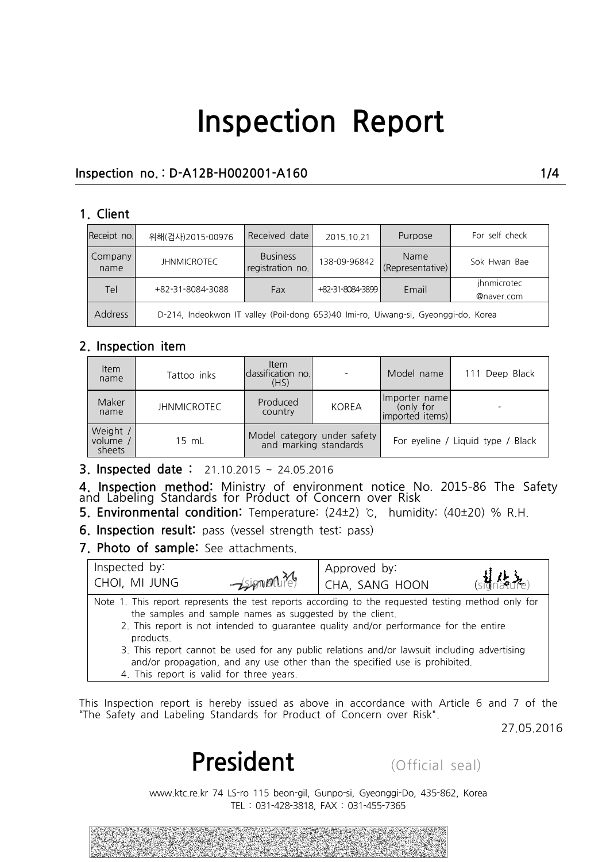### **Inspection no. : D-A12B-H002001-A160 1/4**

#### **1. Client**

| Receipt no.     | 위해(검사)2015-00976                                                                   | Received date                       | 2015.10.21       | Purpose                  | For self check            |  |
|-----------------|------------------------------------------------------------------------------------|-------------------------------------|------------------|--------------------------|---------------------------|--|
| Company<br>name | <b>JHNMICROTEC</b>                                                                 | <b>Business</b><br>registration no. | 138-09-96842     | Name<br>(Representative) | Sok Hwan Bae              |  |
| <b>Tel</b>      | +82-31-8084-3088                                                                   | Fax                                 | +82-31-8084-3899 | Email                    | ihnmicrotec<br>@naver.com |  |
| <b>Address</b>  | D-214, Indeokwon IT valley (Poil-dong 653)40 Imi-ro, Uiwang-si, Gyeonggi-do, Korea |                                     |                  |                          |                           |  |

#### **2. Inspection item**

| <b>Item</b><br>name           | Item<br>classification no.<br>Tattoo inks<br>(HS) |                                                      |              | Model name                                      | 111 Deep Black |  |
|-------------------------------|---------------------------------------------------|------------------------------------------------------|--------------|-------------------------------------------------|----------------|--|
| Maker<br>name                 | <b>JHNMICROTEC</b>                                | Produced<br>country                                  | <b>KOREA</b> | Ilmporter name<br>(only for<br>(imported items) |                |  |
| Weight /<br>volume,<br>sheets | 15 mL                                             | Model category under safety<br>and marking standards |              | For eyeline / Liquid type / Black               |                |  |

**3. Inspected date :** 21.10.2015 ~ 24.05.2016

**4. Inspection method:** Ministry of environment notice No. 2015-86 The Safety<br>and Labeling Standards for Product of Concern over Risk For eyeme 7 Eightary of sheets<br> **5.** Inspected date: 21.10.2015 ~ 24.05.2016<br> **4.** Inspection method: Ministry of environment notice No. 2015-86 The Safety<br> **5.** Environmental condition: Temperature: (24±2) ℃, humidity: (4

|                                      | <b>6. Inspection result:</b> pass (vessel strength test: pass)                                       |                                                                                                                                                                                                                                                                                                                                                                           |                                                                                            |
|--------------------------------------|------------------------------------------------------------------------------------------------------|---------------------------------------------------------------------------------------------------------------------------------------------------------------------------------------------------------------------------------------------------------------------------------------------------------------------------------------------------------------------------|--------------------------------------------------------------------------------------------|
| 7. Photo of sample: See attachments. |                                                                                                      |                                                                                                                                                                                                                                                                                                                                                                           |                                                                                            |
| Inspected by:                        |                                                                                                      | Approved by:                                                                                                                                                                                                                                                                                                                                                              |                                                                                            |
| CHOI, MI JUNG                        | $-\sin\theta$                                                                                        | CHA, SANG HOON                                                                                                                                                                                                                                                                                                                                                            |                                                                                            |
| products.                            | the samples and sample names as suggested by the client.<br>4. This report is valid for three years. | Note 1. This report represents the test reports according to the requested testing method only for<br>2. This report is not intended to guarantee quality and/or performance for the entire<br>3. This report cannot be used for any public relations and/or lawsuit including advertising<br>and/or propagation, and any use other than the specified use is prohibited. |                                                                                            |
|                                      |                                                                                                      |                                                                                                                                                                                                                                                                                                                                                                           |                                                                                            |
|                                      |                                                                                                      |                                                                                                                                                                                                                                                                                                                                                                           |                                                                                            |
|                                      |                                                                                                      | "The Safety and Labeling Standards for Product of Concern over Risk".                                                                                                                                                                                                                                                                                                     | This Inspection report is hereby issued as above in accordance with Article 6 and 7 of the |
|                                      |                                                                                                      |                                                                                                                                                                                                                                                                                                                                                                           | 27.05.2016                                                                                 |
|                                      | President                                                                                            | (Official seal)                                                                                                                                                                                                                                                                                                                                                           |                                                                                            |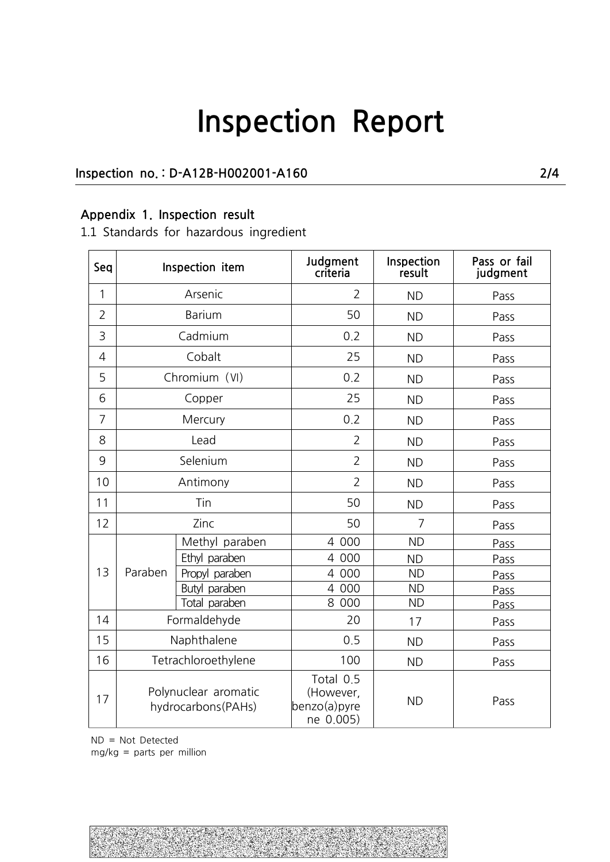### **Inspection no. : D-A12B-H002001-A160 2/4**

### **Appendix 1. Inspection result**

1.1 Standards for hazardous ingredient

| Seq            |                                            | Inspection item | Judgment<br>criteria                                | Inspection<br>result | Pass or fail<br>judgment |
|----------------|--------------------------------------------|-----------------|-----------------------------------------------------|----------------------|--------------------------|
| 1              |                                            | Arsenic         | $\overline{2}$                                      | <b>ND</b>            | Pass                     |
| $\overline{2}$ | <b>Barium</b>                              |                 | 50                                                  | <b>ND</b>            | Pass                     |
| 3              |                                            | Cadmium         | 0.2                                                 | <b>ND</b>            | Pass                     |
| $\overline{4}$ |                                            | Cobalt          | 25                                                  | <b>ND</b>            | Pass                     |
| 5              |                                            | Chromium (VI)   | 0.2                                                 | <b>ND</b>            | Pass                     |
| 6              |                                            | Copper          | 25                                                  | <b>ND</b>            | Pass                     |
| $\overline{7}$ |                                            | Mercury         | 0.2                                                 | <b>ND</b>            | Pass                     |
| 8              |                                            | Lead            | $\overline{2}$                                      | <b>ND</b>            | Pass                     |
| 9              | Selenium                                   |                 | $\overline{2}$                                      | <b>ND</b>            | Pass                     |
| 10             | Antimony                                   |                 | $\overline{2}$                                      | <b>ND</b>            | Pass                     |
| 11             | Tin                                        |                 | 50                                                  | <b>ND</b>            | Pass                     |
| 12             | Zinc                                       |                 | 50                                                  | 7                    | Pass                     |
|                | Paraben                                    | Methyl paraben  | 4 000                                               | <b>ND</b>            | Pass                     |
|                |                                            | Ethyl paraben   | 4 000                                               | <b>ND</b>            | Pass                     |
| 13             |                                            | Propyl paraben  | 4 000                                               | <b>ND</b>            | Pass                     |
|                |                                            | Butyl paraben   | 4 000                                               | <b>ND</b>            | Pass                     |
|                |                                            | Total paraben   | 8 000                                               | <b>ND</b>            | Pass                     |
| 14             |                                            | Formaldehyde    | 20                                                  | 17                   | Pass                     |
| 15             | Naphthalene                                |                 | 0.5                                                 | <b>ND</b>            | Pass                     |
| 16             | Tetrachloroethylene                        |                 | 100                                                 | <b>ND</b>            | Pass                     |
| 17             | Polynuclear aromatic<br>hydrocarbons(PAHs) |                 | Total 0.5<br>(However,<br>benzo(a)pyre<br>ne 0.005) | <b>ND</b>            | Pass                     |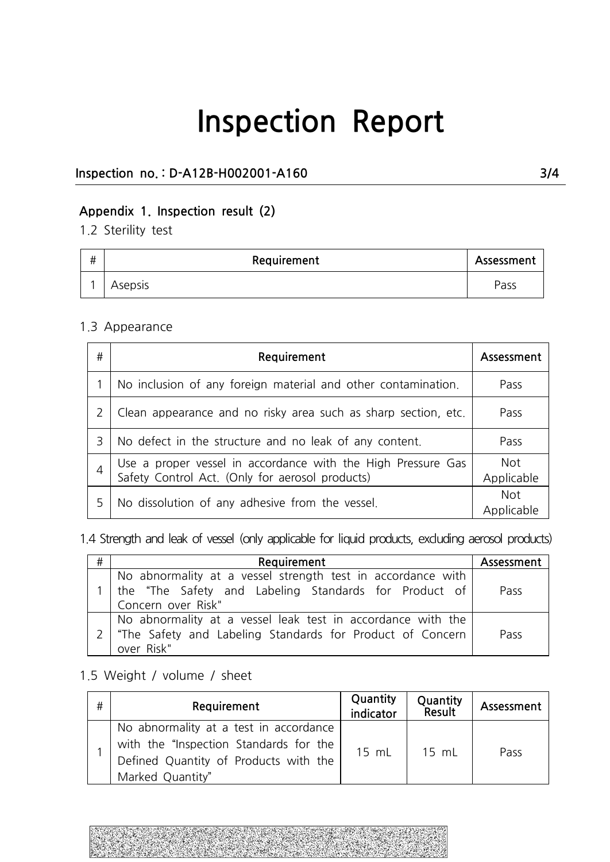### **Inspection no. : D-A12B-H002001-A160 3/4**

### **Appendix 1. Inspection result (2)**

1.2 Sterility test

| # | Requirement | Assessment |  |
|---|-------------|------------|--|
|   | Asepsis     | Pass       |  |

#### 1.3 Appearance

| # | Requirement                                                                                                     | Assessment               |
|---|-----------------------------------------------------------------------------------------------------------------|--------------------------|
|   | No inclusion of any foreign material and other contamination.                                                   | Pass                     |
|   | Clean appearance and no risky area such as sharp section, etc.                                                  | Pass                     |
| 3 | No defect in the structure and no leak of any content.                                                          | Pass                     |
|   | Use a proper vessel in accordance with the High Pressure Gas<br>Safety Control Act. (Only for aerosol products) | <b>Not</b><br>Applicable |
|   | No dissolution of any adhesive from the vessel.                                                                 | <b>Not</b><br>Applicable |

1.4 Strength and leak of vessel (only applicable for liquid products, excluding aerosol products)

| # | Requirement                                                                                                                                | Assessment |
|---|--------------------------------------------------------------------------------------------------------------------------------------------|------------|
|   | No abnormality at a vessel strength test in accordance with<br>the "The Safety and Labeling Standards for Product of<br>Concern over Risk" | Pass       |
|   | No abnormality at a vessel leak test in accordance with the<br>"The Safety and Labeling Standards for Product of Concern<br>over Risk"     | Pass       |

### 1.5 Weight / volume / sheet

|   | "The Safety and Labeling Standards for Product of Concern<br>over Risk"                                                                       |                       |                    | Pass       |
|---|-----------------------------------------------------------------------------------------------------------------------------------------------|-----------------------|--------------------|------------|
|   | .5 Weight / volume / sheet                                                                                                                    |                       |                    |            |
| # | Requirement                                                                                                                                   | Quantity<br>indicator | Quantity<br>Result | Assessment |
|   | No abnormality at a test in accordance<br>with the "Inspection Standards for the<br>Defined Quantity of Products with the<br>Marked Quantity" | 15 mL                 | 15 mL              | Pass       |